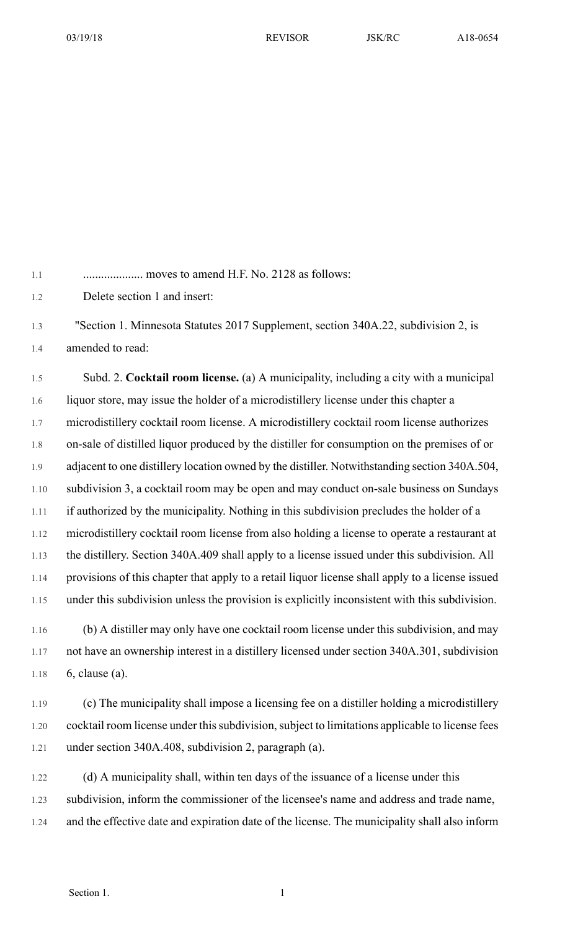1.1 .................... moves to amend H.F. No. 2128 as follows:

1.2 Delete section 1 and insert:

1.3 "Section 1. Minnesota Statutes 2017 Supplement, section 340A.22, subdivision 2, is 1.4 amended to read:

1.5 Subd. 2. **Cocktail room license.** (a) A municipality, including a city with a municipal 1.6 liquor store, may issue the holder of a microdistillery license under this chapter a 1.7 microdistillery cocktail room license. A microdistillery cocktail room license authorizes 1.8 on-sale of distilled liquor produced by the distiller for consumption on the premises of or 1.9 adjacent to one distillery location owned by the distiller. Notwithstanding section 340A.504, 1.10 subdivision 3, a cocktail room may be open and may conduct on-sale business on Sundays 1.11 if authorized by the municipality. Nothing in this subdivision precludes the holder of a 1.12 microdistillery cocktail room license from also holding a license to operate a restaurant at 1.13 the distillery. Section 340A.409 shall apply to a license issued under this subdivision. All 1.14 provisions of this chapter that apply to a retail liquor license shall apply to a license issued 1.15 under this subdivision unless the provision is explicitly inconsistent with this subdivision.

1.16 (b) A distiller may only have one cocktail room license under this subdivision, and may 1.17 not have an ownership interest in a distillery licensed under section 340A.301, subdivision 1.18 6, clause (a).

1.19 (c) The municipality shall impose a licensing fee on a distiller holding a microdistillery 1.20 cocktail room license under this subdivision, subject to limitations applicable to license fees 1.21 under section 340A.408, subdivision 2, paragraph (a).

1.22 (d) A municipality shall, within ten days of the issuance of a license under this 1.23 subdivision, inform the commissioner of the licensee's name and address and trade name, 1.24 and the effective date and expiration date of the license. The municipality shall also inform